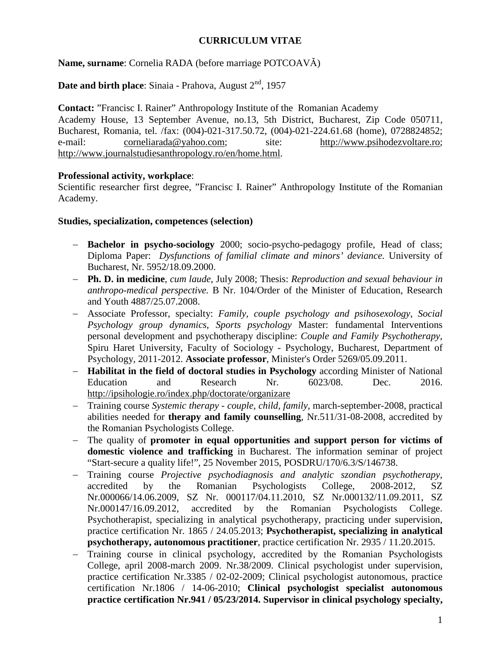### **CURRICULUM VITAE**

**Name, surname**: Cornelia RADA (before marriage POTCOAVĂ)

**Date and birth place:** Sinaia - Prahova, August 2<sup>nd</sup>, 1957

**Contact:** "Francisc I. Rainer" Anthropology Institute of the Romanian Academy Academy House, 13 September Avenue, no.13, 5th District, Bucharest, Zip Code 050711, Bucharest, Romania, tel. /fax: (004)-021-317.50.72, (004)-021-224.61.68 (home), 0728824852; e-mail: [corneliarada@yahoo.com;](mailto:corneliarada@yahoo.com) site: [http://www.psihodezvoltare.ro;](http://www.psihodezvoltare.ro/) [http://www.journalstudiesanthropology.ro/en/home.html.](http://www.journalstudiesanthropology.ro/en/home.html)

### **Professional activity, workplace**:

Scientific researcher first degree, "Francisc I. Rainer" Anthropology Institute of the Romanian Academy.

#### **Studies, specialization, competences (selection)**

- − **Bachelor in psycho-sociology** 2000; socio-psycho-pedagogy profile, Head of class; Diploma Paper: *Dysfunctions of familial climate and minors' deviance.* University of Bucharest, Nr. 5952/18.09.2000.
- − **Ph. D. in medicine**, *cum laude*, July 2008; Thesis: *Reproduction and sexual behaviour in anthropo-medical perspective.* B Nr. 104/Order of the Minister of Education, Research and Youth 4887/25.07.2008.
- − Associate Professor, specialty: *Family, couple psychology and psihosexology*, *Social Psychology group dynamics*, *Sports psychology* Master: fundamental Interventions personal development and psychotherapy discipline: *Couple and Family Psychotherapy*, Spiru Haret University, Faculty of Sociology - Psychology, Bucharest, Department of Psychology, 2011-2012. **Associate professor**, Minister's Order 5269/05.09.2011.
- − **Habilitat in the field of doctoral studies in Psychology** according Minister of National Education and Research Nr. 6023/08. Dec. 2016. <http://ipsihologie.ro/index.php/doctorate/organizare>
- − Training course *Systemic therapy - couple, child, family,* march-september-2008, practical abilities needed for **therapy and family counselling**, Nr.511/31-08-2008, accredited by the Romanian Psychologists College.
- The quality of **promoter in equal opportunities and support person for victims of domestic violence and trafficking** in Bucharest. The information seminar of project "Start-secure a quality life!", 25 November 2015, POSDRU/170/6.3/S/146738.
- − Training course *Projective psychodiagnosis and analytic szondian psychotherapy,*  accredited by the Romanian Psychologists College, 2008-2012, SZ Nr.000066/14.06.2009, SZ Nr. 000117/04.11.2010, SZ Nr.000132/11.09.2011, SZ Nr.000147/16.09.2012, accredited by the Romanian Psychologists College. Psychotherapist, specializing in analytical psychotherapy, practicing under supervision, practice certification Nr. 1865 / 24.05.2013; **Psychotherapist, specializing in analytical psychotherapy, autonomous practitioner**, practice certification Nr. 2935 / 11.20.2015.
- − Training course in clinical psychology, accredited by the Romanian Psychologists College, april 2008-march 2009. Nr.38/2009. Clinical psychologist under supervision, practice certification Nr.3385 / 02-02-2009; Clinical psychologist autonomous, practice certification Nr.1806 / 14-06-2010; **Clinical psychologist specialist autonomous practice certification Nr.941 / 05/23/2014. Supervisor in clinical psychology specialty,**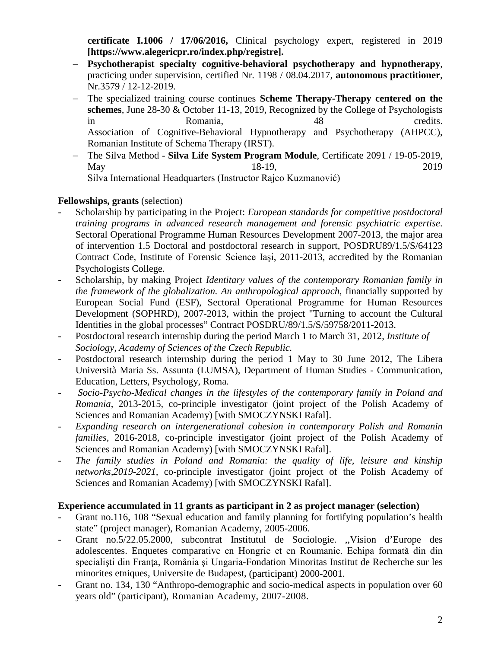**certificate I.1006 / 17/06/2016,** Clinical psychology expert, registered in 2019 **[https://www.alegericpr.ro/index.php/registre].**

- − **Psychotherapist specialty cognitive-behavioral psychotherapy and hypnotherapy**, practicing under supervision, certified Nr. 1198 / 08.04.2017, **autonomous practitioner**, Nr.3579 / 12-12-2019.
- The specialized training course continues **Scheme Therapy-Therapy centered on the schemes**, June 28-30 & October 11-13, 2019, Recognized by the College of Psychologists in Romania, 48 credits. Association of Cognitive-Behavioral Hypnotherapy and Psychotherapy (AHPCC), Romanian Institute of Schema Therapy (IRST).
- − The Silva Method **Silva Life System Program Module**, Certificate 2091 / 19-05-2019, May 18-19, 2019 Silva International Headquarters (Instructor Rajco Kuzmanović)

# **Fellowships, grants** (selection)

- Scholarship by participating in the Project: *European standards for competitive postdoctoral training programs in advanced research management and forensic psychiatric expertise*. Sectoral Operational Programme Human Resources Development 2007-2013, the major area of intervention 1.5 Doctoral and postdoctoral research in support, POSDRU89/1.5/S/64123 Contract Code, Institute of Forensic Science Iaşi, 2011-2013, accredited by the Romanian Psychologists College.
- Scholarship, by making Project *Identitary values of the contemporary Romanian family in the framework of the globalization. An anthropological approach*, financially supported by European Social Fund (ESF), Sectoral Operational Programme for Human Resources Development (SOPHRD), 2007-2013, within the project "Turning to account the Cultural Identities in the global processes" Contract POSDRU/89/1.5/S/59758/2011-2013.
- Postdoctoral research internship during the period March 1 to March 31, 2012, *Institute of Sociology, Academy of Sciences of the Czech Republic.*
- Postdoctoral research internship during the period 1 May to 30 June 2012, The Libera Università Maria Ss. Assunta (LUMSA), Department of Human Studies - Communication, Education, Letters, Psychology, Roma.
- *Socio-Psycho-Medical changes in the lifestyles of the contemporary family in Poland and Romania*, 2013-2015, co-principle investigator (joint project of the Polish Academy of Sciences and Romanian Academy) [with SMOCZYNSKI Rafal].
- *Expanding research on intergenerational cohesion in contemporary Polish and Romanin families,* 2016-2018, co-principle investigator (joint project of the Polish Academy of Sciences and Romanian Academy) [with SMOCZYNSKI Rafal].
- The family studies in Poland and Romania: the quality of life, leisure and kinship *networks,2019-2021,* co-principle investigator (joint project of the Polish Academy of Sciences and Romanian Academy) [with SMOCZYNSKI Rafal].

### **Experience accumulated in 11 grants as participant in 2 as project manager (selection)**

- Grant no.116, 108 "Sexual education and family planning for fortifying population's health state" (project manager), Romanian Academy, 2005-2006.
- Grant no.5/22.05.2000, subcontrat Institutul de Sociologie. ,,Vision d'Europe des adolescentes. Enquetes comparative en Hongrie et en Roumanie. Echipa formată din din specialiști din Franța, România și Ungaria-Fondation Minoritas Institut de Recherche sur les minorites etniques, Universite de Budapest, (participant) 2000-2001.
- Grant no. 134, 130 "Anthropo-demographic and socio-medical aspects in population over 60 years old" (participant), Romanian Academy, 2007-2008.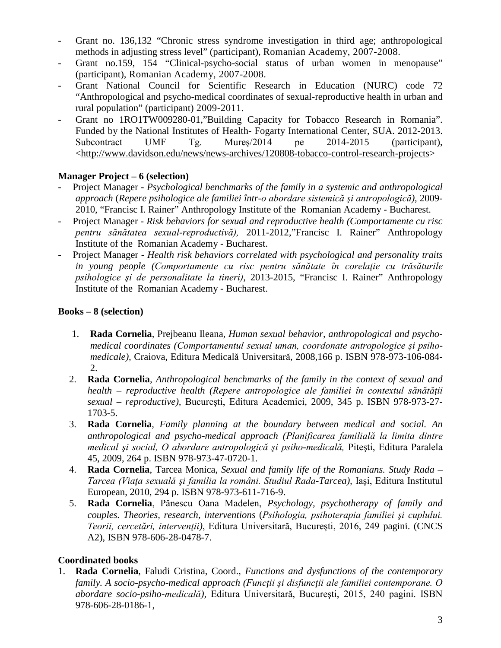- Grant no. 136,132 "Chronic stress syndrome investigation in third age; anthropological methods in adjusting stress level" (participant), Romanian Academy, 2007-2008.
- Grant no.159, 154 "Clinical-psycho-social status of urban women in menopause" (participant), Romanian Academy, 2007-2008.
- Grant National Council for Scientific Research in Education (NURC) code 72 "Anthropological and psycho-medical coordinates of sexual-reproductive health in urban and rural population" (participant) 2009-2011.
- Grant no 1RO1TW009280-01, Building Capacity for Tobacco Research in Romania". Funded by the National Institutes of Health- Fogarty International Center, SUA. 2012-2013. Subcontract UMF Tg. Mureş/2014 pe 2014-2015 (participant), [<http://www.davidson.edu/news/news-archives/120808-tobacco-control-research-projects>](http://www.davidson.edu/news/news-archives/120808-tobacco-control-research-projects)

# **Manager Project – 6 (selection)**

- Project Manager *Psychological benchmarks of the family in a systemic and anthropological approach* (*Repere psihologice ale familiei într-o abordare sistemică şi antropologică)*, 2009- 2010, "Francisc I. Rainer" Anthropology Institute of the Romanian Academy - Bucharest.
- Project Manager *Risk behaviors for sexual and reproductive health (Comportamente cu risc pentru sănătatea sexual-reproductivă),* 2011-2012,"Francisc I. Rainer" Anthropology Institute of the Romanian Academy - Bucharest.
- Project Manager *Health risk behaviors correlated with psychological and personality traits in young people (Comportamente cu risc pentru sănătate în corelaţie cu trăsăturile psihologice şi de personalitate la tineri)*, 2013-2015, "Francisc I. Rainer" Anthropology Institute of the Romanian Academy - Bucharest.

# **Books – 8 (selection)**

- 1. **Rada Cornelia**, Prejbeanu Ileana, *Human sexual behavior, anthropological and psychomedical coordinates (Comportamentul sexual uman, coordonate antropologice şi psihomedicale),* Craiova, Editura Medicală Universitară, 2008,166 p. ISBN 978-973-106-084- 2.
- 2. **Rada Cornelia**, *Anthropological benchmarks of the family in the context of sexual and health – reproductive health (Repere antropologice ale familiei în contextul sănătăţii sexual – reproductive),* Bucureşti, Editura Academiei, 2009, 345 p. ISBN 978-973-27- 1703-5.
- 3. **Rada Cornelia**, *Family planning at the boundary between medical and social. An anthropological and psycho-medical approach (Planificarea familială la limita dintre medical şi social, O abordare antropologică şi psiho-medicală,* Piteşti, Editura Paralela 45, 2009, 264 p. ISBN 978-973-47-0720-1.
- 4. **Rada Cornelia**, Tarcea Monica, *Sexual and family life of the Romanians. Study Rada – Tarcea (Viaţa sexuală şi familia la români. Studiul Rada-Tarcea),* Iaşi, Editura Institutul European, 2010, 294 p. ISBN 978-973-611-716-9.
- 5. **Rada Cornelia**, Pănescu Oana Madelen, *Psychology, psychotherapy of family and couples. Theories, research, interventions* (*Psihologia, psihoterapia familiei şi cuplului. Teorii, cercetări, intervenţii)*, Editura Universitară, Bucureşti, 2016, 249 pagini. (CNCS A2), ISBN 978-606-28-0478-7.

# **Coordinated books**

1. **Rada Cornelia**, Faludi Cristina, Coord., *Functions and dysfunctions of the contemporary family. A socio-psycho-medical approach (Funcţii şi disfuncţii ale familiei contemporane. O abordare socio-psiho-medicală),* Editura Universitară, Bucureşti, 2015, 240 pagini. ISBN 978-606-28-0186-1,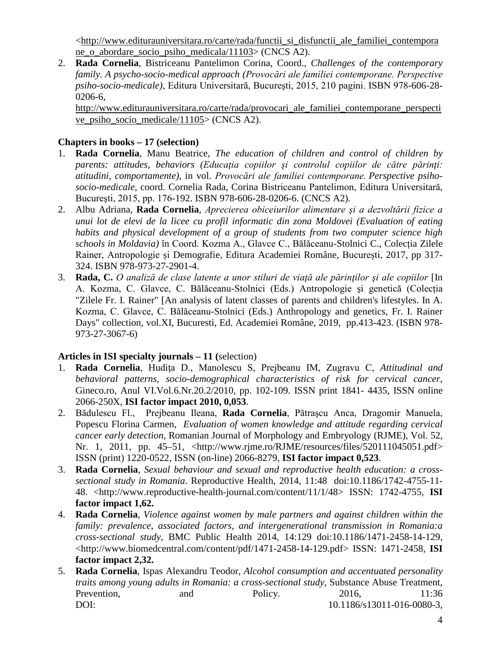[<http://www.editurauniversitara.ro/carte/rada/functii\\_si\\_disfunctii\\_ale\\_familiei\\_contempora](http://www.editurauniversitara.ro/carte/rada/functii_si_disfunctii_ale_familiei_contemporane_o_abordare_socio_psiho_medicala/11103) [ne\\_o\\_abordare\\_socio\\_psiho\\_medicala/11103>](http://www.editurauniversitara.ro/carte/rada/functii_si_disfunctii_ale_familiei_contemporane_o_abordare_socio_psiho_medicala/11103) (CNCS A2).

2. **Rada Cornelia**, Bistriceanu Pantelimon Corina, Coord., *Challenges of the contemporary family. A psycho-socio-medical approach (Provocări ale familiei contemporane. Perspective psiho-socio-medicale)*, Editura Universitară, Bucureşti, 2015, 210 pagini. ISBN 978-606-28- 0206-6,

[http://www.editurauniversitara.ro/carte/rada/provocari\\_ale\\_familiei\\_contemporane\\_perspecti](http://www.editurauniversitara.ro/carte/rada/provocari_ale_familiei_contemporane_perspective_psiho_socio_medicale/11105) [ve\\_psiho\\_socio\\_medicale/11105>](http://www.editurauniversitara.ro/carte/rada/provocari_ale_familiei_contemporane_perspective_psiho_socio_medicale/11105) (CNCS A2).

# **Chapters in books – 17 (selection)**

- 1. **Rada Cornelia**, Manu Beatrice, *The education of children and control of children by parents: attitudes, behaviors (Educaţia copiilor şi controlul copiilor de către părinţi: atitudini, comportamente)*, in vol. *Provocări ale familiei contemporane. Perspective psihosocio-medicale*, coord. Cornelia Rada, Corina Bistriceanu Pantelimon, Editura Universitară, Bucureşti, 2015, pp. 176-192. ISBN 978-606-28-0206-6. (CNCS A2).
- 2. Albu Adriana, **Rada Cornelia**, *Aprecierea obiceiurilor alimentare şi a dezvoltării fizice a unui lot de elevi de la licee cu profil informatic din zona Moldovei (Evaluation of eating habits and physical development of a group of students from two computer science high schools in Moldavia)* în Coord. Kozma A., Glavce C., Bălăceanu-Stolnici C., Colecția Zilele Rainer, Antropologie și Demografie, Editura Academiei Române, București, 2017, pp 317- 324. ISBN 978-973-27-2901-4.
- 3. **Rada, C.** *O analiză de clase latente a unor stiluri de viaţă ale părinţilor şi ale copiilor* [In A. Kozma, C. Glavce, C. Bălăceanu-Stolnici (Eds.) Antropologie şi genetică (Colecția "Zilele Fr. I. Rainer" [An analysis of latent classes of parents and children's lifestyles. In A. Kozma, C. Glavce, C. Bălăceanu-Stolnici (Eds.) Anthropology and genetics, Fr. I. Rainer Days" collection, vol.XI, Bucuresti, Ed. Academiei Române, 2019, pp.413-423. (ISBN 978- 973-27-3067-6)

### **[Articles in ISI specialty journals](http://spitswww.uvt.nl/%7Evermunt/#ArtISI) – 11 (**selection)

- 1. **Rada Cornelia**, Hudiţa D., Manolescu S, Prejbeanu IM, Zugravu C, *Attitudinal and behavioral patterns, socio-demographical characteristics of risk for cervical cancer*, Gineco.ro, Anul VI.Vol.6.Nr.20.2/2010, pp. 102-109. ISSN print 1841- 4435, ISSN online 2066-250X, **ISI factor impact 2010, 0,053**.
- 2. Bădulescu Fl., Prejbeanu Ileana, **Rada Cornelia**, Pătraşcu Anca, Dragomir Manuela, Popescu Florina Carmen, *Evaluation of women knowledge and attitude regarding cervical cancer early detection,* Romanian Journal of Morphology and Embryology (RJME), Vol. 52, Nr. 1, 2011, pp. 45–51, <http://www.rjme.ro/RJME/resources/files/520111045051.pdf> ISSN (print) 1220-0522, ISSN (on-line) 2066-8279, **ISI factor impact 0,523**.
- 3. **Rada Cornelia**, *Sexual behaviour and sexual and reproductive health education: a crosssectional study in Romania*. Reproductive Health, 2014, 11:48 doi:10.1186/1742-4755-11- 48. <http://www.reproductive-health-journal.com/content/11/1/48> ISSN: 1742-4755, **ISI factor impact 1,62.**
- 4. **Rada Cornelia**, *Violence against women by male partners and against children within the family: prevalence, associated factors, and intergenerational transmission in Romania:a cross-sectional study*, BMC Public Health 2014, 14:129 doi:10.1186/1471-2458-14-129, <http://www.biomedcentral.com/content/pdf/1471-2458-14-129.pdf> ISSN: 1471-2458, **ISI factor impact 2,32.**
- 5. **Rada Cornelia**, Ispas Alexandru Teodor, *Alcohol consumption and accentuated personality traits among young adults in Romania: a cross-sectional study,* Substance Abuse Treatment, Prevention, and Policy. 2016, 11:36 DOI: 10.1186/s13011-016-0080-3,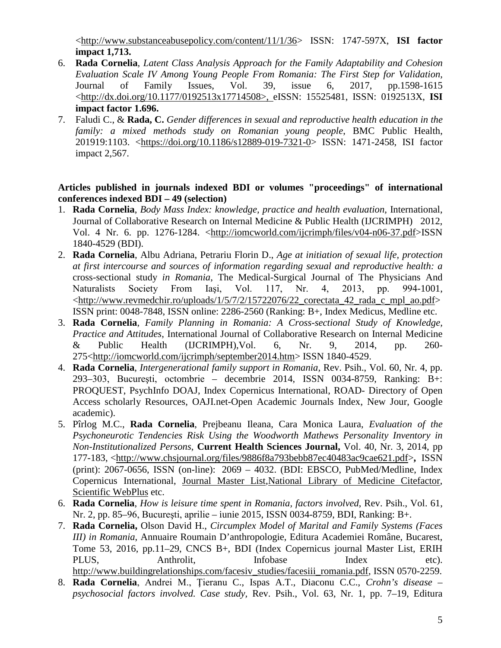[<http://www.substanceabusepolicy.com/content/11/1/36>](http://www.substanceabusepolicy.com/content/11/1/36) ISSN: 1747-597X, **ISI factor impact 1,713.**

- 6. **Rada Cornelia**, *Latent Class Analysis Approach for the Family Adaptability and Cohesion Evaluation Scale IV Among Young People From Romania: The First Step for Validation,*  Journal of Family Issues, Vol. 39, issue 6, 2017, pp.1598-1615 [<http://dx.doi.org/10.1177/0192513x17714508>](http://dx.doi.org/10.1177/0192513x17714508), eISSN: 15525481, ISSN: 0192513X, **ISI impact factor 1.696.**
- 7. Faludi C., & **Rada, C.** *Gender differences in sexual and reproductive health education in the family: a mixed methods study on Romanian young people*, BMC Public Health, 201919:1103. [<https://doi.org/10.1186/s12889-019-7321-0>](https://doi.org/10.1186/s12889-019-7321-0) ISSN: 1471-2458, ISI factor impact 2,567.

#### **Articles published in journals indexed BDI or volumes "proceedings" of international conferences indexed BDI – 49 (selection)**

- 1. **Rada Cornelia**, *Body Mass Index: knowledge, practice and health evaluation,* International, Journal of Collaborative Research on Internal Medicine & Public Health (IJCRIMPH) 2012, Vol. 4 Nr. 6. pp. 1276-1284. [<http://iomcworld.com/ijcrimph/files/v04-n06-37.pdf>](http://iomcworld.com/ijcrimph/files/v04-n06-37.pdf)ISSN 1840-4529 (BDI).
- 2. **Rada Cornelia**, Albu Adriana, Petrariu Florin D., *Age at initiation of sexual life, protection at first intercourse and sources of information regarding sexual and reproductive health: a* cross-sectional study *in Romania*, The Medical-Surgical Journal of The Physicians And Naturalists Society From Iaşi, Vol. 117, Nr. 4, 2013, pp. 994-1001,  $\lt$ http://www.revmedchir.ro/uploads/1/5/7/2/15722076/22 corectata 42 rada c mpl ao.pdf> ISSN print: 0048-7848, ISSN online: 2286-2560 (Ranking: B+, Index Medicus, Medline etc.
- 3. **Rada Cornelia**, *Family Planning in Romania: A Cross-sectional Study of Knowledge, Practice and Attitudes*, International Journal of Collaborative Research on Internal Medicine & Public Health (IJCRIMPH),Vol. 6, Nr. 9, 2014, pp. 260- 275[<http://iomcworld.com/ijcrimph/september2014.htm>](http://iomcworld.com/ijcrimph/september2014.htm) ISSN 1840-4529.
- 4. **Rada Cornelia**, *Intergenerational family support in Romania,* Rev. Psih., Vol. 60, Nr. 4, pp. 293–303, Bucureşti, octombrie – decembrie 2014, ISSN 0034-8759, Ranking: B+: PROQUEST, PsychInfo DOAJ, Index Copernicus International, ROAD- Directory of Open Access scholarly Resources, OAJI.net-Open Academic Journals Index, New Jour, Google academic).
- 5. Pîrlog M.C., **Rada Cornelia**, Prejbeanu Ileana, Cara Monica Laura, *Evaluation of the Psychoneurotic Tendencies Risk Using the Woodworth Mathews Personality Inventory in Non-Institutionalized Persons*, **Current Health Sciences Journal,** Vol. 40, Nr. 3, 2014, pp 177-183, [<http://www.chsjournal.org/files/9886f8a793bebb87ec40483ac9cae621.pdf>](http://www.chsjournal.org/files/9886f8a793bebb87ec40483ac9cae621.pdf)**,** ISSN (print): 2067-0656, ISSN (on-line): 2069 – 4032. (BDI: EBSCO, PubMed/Medline, Index Copernicus International, [Journal Master List,](http://journals.indexcopernicus.com/Current+Health+Sciences+Journal,p569,3.html)[National Library of Medicine Citefactor,](http://www.ncbi.nlm.nih.gov/nlmcatalog/101597164) [Scientific WebPlus](http://scientific.thomsonwebplus.com/SearchResults.aspx?query=current+health+s,/pciences+journal+craiova&searchContext=TOPIC) etc.
- 6. **Rada Cornelia**, *How is leisure time spent in Romania, factors involved*, Rev. Psih., Vol. 61, Nr. 2, pp. 85–96, Bucureşti, aprilie – iunie 2015, ISSN 0034-8759, BDI, Ranking: B+.
- 7. **Rada Cornelia,** Olson David H., *Circumplex Model of Marital and Family Systems (Faces III) in Romania*, Annuaire Roumain D'anthropologie, Editura Academiei Române, Bucarest, Tome 53, 2016, pp.11–29, CNCS B+, BDI (Index Copernicus journal Master List, ERIH PLUS, Anthrolit, Infobase Index etc). [http://www.buildingrelationships.com/facesiv\\_studies/facesiii\\_romania.pdf,](http://www.buildingrelationships.com/facesiv_studies/facesiii_romania.pdf) ISSN 0570-2259.
- 8. **Rada Cornelia**, Andrei M., Ţieranu C., Ispas A.T., Diaconu C.C., *Crohn's disease – psychosocial factors involved. Case study,* Rev. Psih., Vol. 63, Nr. 1, pp. 7–19, Editura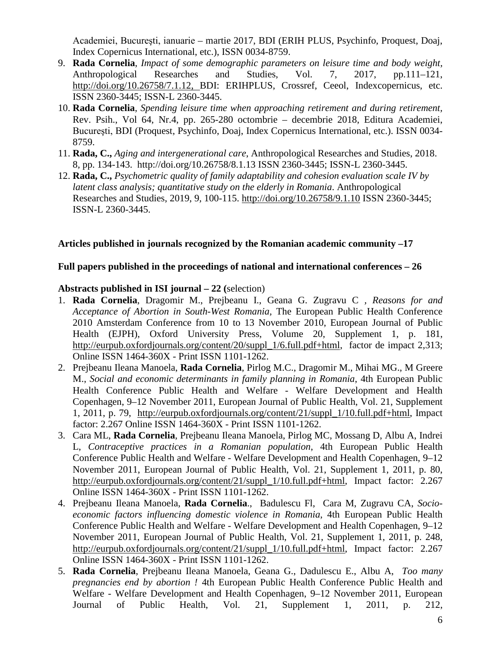Academiei, Bucureşti, ianuarie – martie 2017, BDI (ERIH PLUS, Psychinfo, Proquest, Doaj, Index Copernicus International, etc.), ISSN 0034-8759.

- 9. **Rada Cornelia**, *Impact of some demographic parameters on leisure time and body weight,* Anthropological Researches and Studies, Vol. 7, 2017, pp.111–121, [http://doi.org/10.26758/7.1.12,](http://doi.org/10.26758/7.1.12) BDI: ERIHPLUS, Crossref, Ceeol, Indexcopernicus, etc. ISSN 2360-3445; ISSN-L 2360-3445.
- 10. **Rada Cornelia**, *Spending leisure time when approaching retirement and during retirement,* Rev. Psih., Vol 64, Nr.4, pp. 265-280 octombrie – decembrie 2018, Editura Academiei, Bucureşti, BDI (Proquest, Psychinfo, Doaj, Index Copernicus International, etc.). ISSN 0034- 8759.
- 11. **Rada, C.,** *Aging and intergenerational care*, Anthropological Researches and Studies, 2018. 8*,* pp. 134-143. <http://doi.org/10.26758/8.1.13> ISSN 2360-3445; ISSN-L 2360-3445.
- 12. **Rada, C.,** *Psychometric quality of family adaptability and cohesion evaluation scale IV by latent class analysis; quantitative study on the elderly in Romania*. Anthropological Researches and Studies, 2019, 9*,* 100-115.<http://doi.org/10.26758/9.1.10> ISSN 2360-3445; ISSN-L 2360-3445.

#### **Articles published in journals recognized by the Romanian academic community –17**

#### **Full papers published in the proceedings of national and international conferences – 26**

#### **Abstracts published in ISI journal – 22 (**selection)

- 1. **Rada Cornelia**, Dragomir M., Prejbeanu I., Geana G. Zugravu C *, Reasons for and Acceptance of Abortion in South-West Romania,* The European Public Health Conference 2010 Amsterdam Conference from 10 to 13 November 2010, European Journal of Public Health (EJPH), Oxford University Press, Volume 20, Supplement 1, p. 181, [http://eurpub.oxfordjournals.org/content/20/suppl\\_1/6.full.pdf+html,](http://eurpub.oxfordjournals.org/content/20/suppl_1/6.full.pdf+html) factor de impact 2,313; Online ISSN 1464-360X - Print ISSN 1101-1262.
- 2. Prejbeanu Ileana Manoela, **Rada Cornelia**, Pirlog M.C., Dragomir M., Mihai MG., M Greere M., *Social and economic determinants in family planning in Romania*, [4th European Public](http://eurpub.oxfordjournals.org/content/21/suppl_1.toc)  [Health Conference Public Health and Welfare -](http://eurpub.oxfordjournals.org/content/21/suppl_1.toc) Welfare Development and Health [Copenhagen, 9–12 November 2011,](http://eurpub.oxfordjournals.org/content/21/suppl_1.toc) European Journal of Public Health, Vol. 21, Supplement 1, 2011, p. 79, [http://eurpub.oxfordjournals.org/content/21/suppl\\_1/10.full.pdf+html,](http://eurpub.oxfordjournals.org/content/21/suppl_1/10.full.pdf+html) Impact factor: 2.267 Online ISSN 1464-360X - Print ISSN 1101-1262.
- 3. Cara ML, **Rada Cornelia**, Prejbeanu Ileana Manoela, Pirlog MC, Mossang D, Albu A, Indrei L, *Contraceptive practices in a Romanian population*, [4th European Public Health](http://eurpub.oxfordjournals.org/content/21/suppl_1.toc)  Conference Public Health and Welfare - [Welfare Development and Health Copenhagen, 9–12](http://eurpub.oxfordjournals.org/content/21/suppl_1.toc)  [November 2011,](http://eurpub.oxfordjournals.org/content/21/suppl_1.toc) European Journal of Public Health, Vol. 21, Supplement 1, 2011, p. 80, [http://eurpub.oxfordjournals.org/content/21/suppl\\_1/10.full.pdf+html,](http://eurpub.oxfordjournals.org/content/21/suppl_1/10.full.pdf+html) Impact factor: 2.267 Online ISSN 1464-360X - Print ISSN 1101-1262.
- 4. Prejbeanu Ileana Manoela, **Rada Cornelia**., Badulescu Fl, Cara M, Zugravu CA, *Socioeconomic factors influencing domestic violence in Romania*, [4th European Public Health](http://eurpub.oxfordjournals.org/content/21/suppl_1.toc)  Conference Public Health and Welfare - [Welfare Development and Health Copenhagen, 9–12](http://eurpub.oxfordjournals.org/content/21/suppl_1.toc)  [November 2011,](http://eurpub.oxfordjournals.org/content/21/suppl_1.toc) European Journal of Public Health, Vol. 21, Supplement 1, 2011, p. 248, [http://eurpub.oxfordjournals.org/content/21/suppl\\_1/10.full.pdf+html,](http://eurpub.oxfordjournals.org/content/21/suppl_1/10.full.pdf+html) Impact factor: 2.267 Online ISSN 1464-360X - Print ISSN 1101-1262.
- 5. **Rada Cornelia**, Prejbeanu Ileana Manoela, Geana G., Dadulescu E., Albu A, *Too many pregnancies end by abortion !* [4th European Public Health Conference Public Health and](http://eurpub.oxfordjournals.org/content/21/suppl_1.toc)  Welfare - [Welfare Development and Health Copenhagen, 9–12 November 2011,](http://eurpub.oxfordjournals.org/content/21/suppl_1.toc) European Journal of Public Health, Vol. 21, Supplement 1, 2011, p. 212,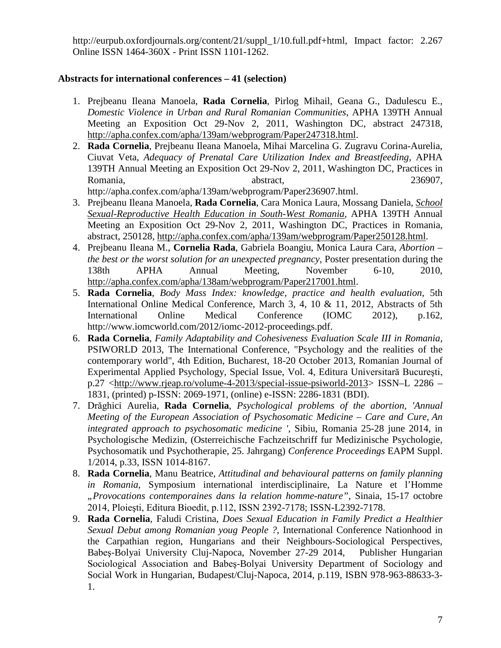[http://eurpub.oxfordjournals.org/content/21/suppl\\_1/10.full.pdf+html,](http://eurpub.oxfordjournals.org/content/21/suppl_1/10.full.pdf+html) Impact factor: 2.267 Online ISSN 1464-360X - Print ISSN 1101-1262.

### **Abstracts for international conferences – 41 (selection)**

- 1. Prejbeanu Ileana Manoela, **Rada Cornelia**, Pirlog Mihail, Geana G., Dadulescu E., *Domestic Violence in Urban and Rural Romanian Communities*, APHA 139TH Annual Meeting an Exposition Oct 29-Nov 2, 2011, Washington DC, abstract 247318, [http://apha.confex.com/apha/139am/webprogram/Paper247318.html.](http://apha.confex.com/apha/139am/webprogram/Paper247318.html)
- 2. **Rada Cornelia**, Prejbeanu Ileana Manoela, Mihai Marcelina G. Zugravu Corina-Aurelia, Ciuvat Veta, *Adequacy of Prenatal Care Utilization Index and Breastfeeding,* APHA 139TH Annual Meeting an Exposition Oct 29-Nov 2, 2011, Washington DC, Practices in Romania, abstract, abstract, 236907, http://apha.confex.com/apha/139am/webprogram/Paper236907.html.
- 3. Prejbeanu Ileana Manoela, **Rada Cornelia**, Cara Monica Laura, Mossang Daniela, *[School](http://apha.confex.com/apha/139am/webprogram/Paper250128.html)  [Sexual-Reproductive Health Education in South-West Romania,](http://apha.confex.com/apha/139am/webprogram/Paper250128.html)* APHA 139TH Annual Meeting an Exposition Oct 29-Nov 2, 2011, Washington DC, Practices in Romania, abstract, 250128, [http://apha.confex.com/apha/139am/webprogram/Paper250128.html.](http://apha.confex.com/apha/139am/webprogram/Paper250128.html)
- 4. Prejbeanu Ileana M., **Cornelia Rada**, Gabriela Boangiu, Monica Laura Cara, *Abortion – the best or the worst solution for an unexpected pregnancy*, Poster presentation during the 138th APHA Annual Meeting, November 6-10, 2010, [http://apha.confex.com/apha/138am/webprogram/Paper217001.html.](http://apha.confex.com/apha/138am/webprogram/Paper217001.html)
- 5. **Rada Cornelia**, *Body Mass Index: knowledge, practice and health evaluation*, 5th International Online Medical Conference, March 3, 4, 10 & 11, 2012, Abstracts of 5th International Online Medical Conference (IOMC 2012), p.162, http://www.iomcworld.com/2012/iomc-2012-proceedings.pdf.
- 6. **Rada Cornelia**, *Family Adaptability and Cohesiveness Evaluation Scale III in Romania,* PSIWORLD 2013, The International Conference, "Psychology and the realities of the contemporary world", 4th Edition, Bucharest, 18-20 October 2013, Romanian Journal of Experimental Applied Psychology, Special Issue, Vol. 4, Editura Universitară Bucureşti, p.27 [<http://www.rjeap.ro/volume-4-2013/special-issue-psiworld-2013>](http://www.rjeap.ro/volume-4-2013/special-issue-psiworld-2013) ISSN–L 2286 – 1831, (printed) p-ISSN: 2069-1971, (online) e-ISSN: 2286-1831 (BDI).
- 7. Drăghici Aurelia, **Rada Cornelia**, *Psychological problems of the abortion*, *'Annual Meeting of the European Association of Psychosomatic Medicine – Care and Cure, An integrated approach to psychosomatic medicine ',* Sibiu, Romania 25-28 june 2014, in Psychologische Medizin, (Osterreichische Fachzeitschriff fur Medizinische Psychologie, Psychosomatik und Psychotherapie, 25. Jahrgang) *Conference Proceedings* EAPM Suppl. 1/2014, p.33, ISSN 1014-8167.
- 8. **Rada Cornelia**, Manu Beatrice, *Attitudinal and behavioural patterns on family planning in Romania*, Symposium international interdisciplinaire, La Nature et l'Homme *"Provocations contemporaines dans la relation homme-nature"*, Sinaia, 15-17 octobre 2014, Ploieşti, Editura Bioedit, p.112, ISSN 2392-7178; ISSN-L2392-7178.
- 9. **Rada Cornelia**, Faludi Cristina, *Does Sexual Education in Family Predict a Healthier Sexual Debut among Romanian youg People ?*, International Conference Nationhood in the Carpathian region, Hungarians and their Neighbours-Sociological Perspectives, Babeş-Bolyai University Cluj-Napoca, November 27-29 2014, Publisher Hungarian Sociological Association and Babeş-Bolyai University Department of Sociology and Social Work in Hungarian, Budapest/Cluj-Napoca, 2014, p.119, ISBN 978-963-88633-3- 1.